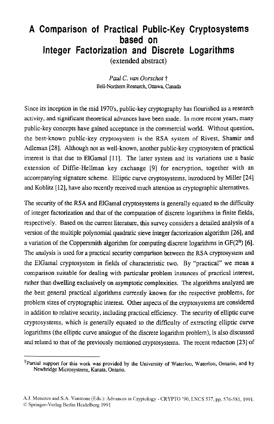## **A Comparison of Practical Public-Key Cryptosystems based on Integer Factorization and Discrete Logarithms**  (extended abstract)

*Paul C. van Oorschot t*  Bell-Northern Research, Ottawa, Canada

Since its inception in the mid 1970's, public-key cryptography has flourished as a research activity, and significant theoretical advances have been made. In more recent years, many public-key concepts have gained acceptance in the commercial world. Without question, the best-known public-key cryptosystem is the RSA system of Rivest, Shamir and Adleman [28]. Although not as well-known, another public-key cryptosystem of practical interest is that due to ElGamal [ll]. The latter system and its variations use a basic extension of Diffie-Hellman key exchange [9] for encryption, together with an accompanying signature scheme. Elliptic curve cryptosystems, introduced by Miller [241 and Koblitz [12], have also recently received much attention as cryptographic alternatives.

The security of the RSA and ElGamal cryptosystems is generally equated to the difficulty of integer factorization and that of the computation of discrete logarithms in finite fields, respectively. Based on the current literature, this survey considers a detailed analysis of a version of the multiple polynomial quadratic sieve integer factorization algorithm [261, and a variation of the Coppersmith algorithm for computing discrete logarithms in  $GF(2^n)$  [6]. The analysis is used for a practical security comparison between the RSA cryptosystem and the ElGamal cryptosystem in fields of characteristic two, By "practical" we mean a comparison suitable for dealing with particular problem instances of practical interest, rather than dwelling exclusively on asymptotic complexities. The algorithms analyzed arc the best general practical algorithms currently known for the respective problems, for problem sizes of cryptographic interest. Other aspects of the cryptosystems are considered in addition to relative security, including practical efficiency. The security of elliptic curve cryptosystems, which is generally equated to the difficulty of extracting elliptic curve logarithms (the elliptic curve analogue of the discrete logarithm problem), is also discussed and related to that of the previously mentioned cryptosystems. The recent reduction [23] of

<sup>+</sup>Partial support for this work was provided by the University of Waterloo, Waterloo, Ontario, and by Newbridge Microsystems, Kanata, Ontario.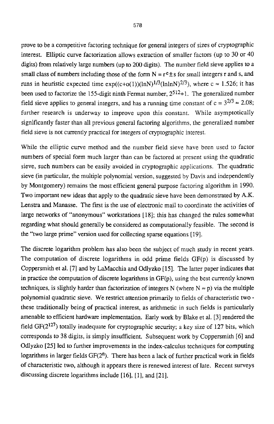prove to be a competitive factoring technique for general integers of sizes of cryptographic interest. Elliptic curve factorization allows extraction of smaller factors (up to 30 or 40 digits) from relatively large numbers (up to 200 **digits).** The number field sieve applies to a small class of numbers including those of the form  $N = r^e \pm s$  for small integers r and s, and runs in heuristic expected time  $exp((c+o(1))(lnN)^{1/3}(lnlnN)^{2/3})$ , where  $c \approx 1.526$ ; it has been used to factorize the 155-digit ninth Fermat number,  $2^{512}+1$ . The generalized number field sieve applies to general integers, and has a running time constant of  $c = 3^{2/3} \approx 2.08$ ; further research is underway to improve upon this constant. While asymptotically significantly faster than all previous general factoring algorithms, the generalized number field sieve is not currently practical for integers of cryptographic interest.

While the elliptic curve method and the number field sieve have been used to factor numbers of special form much larger than can be factored at present using the quadratic sieve, such numbers can be easily avoided in cryptographic applications. The quadratic sieve (in particular, the multiple polynomial version, suggested by Davis and independently by Montgomery) remains the most efficient general purpose factoring algorithm in 1990. TWO important new ideas that apply to the quadratic sieve have been demonstrated by **A.K.**  Lenstra and Manasse. The first is the use of electronic mail to coordinate the activities of large networks of "anonymous" workstations [18]; this has changed the rules somewhat regarding what should generally be considered as computationally feasible. The second is the "two large prime" version used for collecting sparse equations [19].

The discrete logarithm problem has also been the subject of much study in recent years. The computation of discrete logarithms in odd prime fields  $GF(p)$  is discussed by Coppersmith et al. **[7]** and by LaMacchia and Odlyzko **[15].** The latter paper indicates that in practice the computation of discrete logarithms in  $GF(p)$ , using the best currently known techniques, is slightly harder than factorization of integers N (where  $N \approx p$ ) via the multiple polynomial quadratic sieve. We restrict attention primarily to fields of characteristic two these traditionally being of practical interest, as arithmetic in such fields is particularly amenable to efficient hardware implementation. Early work by Blake et al. [3] rendered the field  $GF(2^{127})$  totally inadequate for cryptographic security; a key size of 127 bits, which corresponds to 38 digits, is simply insufficient. Subsequent work by Coppersmith [6] and Odlyzko [25] led to further improvements in the index-calculus techniques for computing logarithms in larger fields  $GF(2<sup>n</sup>)$ . There has been a lack of further practical work in fields of characteristic two, although it appears there is renewed interest of late. Recent surveys discussing discrete logarithms include [16], [l], and [21].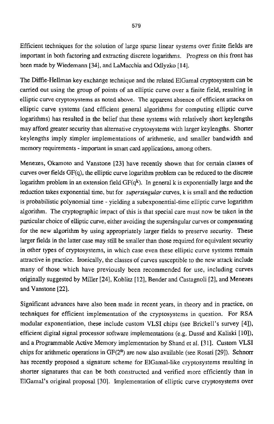Efficient techniques for the solution of large sparse linear systems over finite fields are important in both factoring and extracting discrete logarithms. Progress on this front has been made by Wiedemann **[341,** and LaMacchia and Odlyzko [ **141.** 

The Diffie-Hellman key exchange technique and the related ElGamal cryptosystem can be carried out using the group of points of an elliptic curve over a finite field, resulting in elliptic curve cryptosystems as noted above. The apparent absence of efficient attacks on elliptic curve systems (and efficient general algorithms for computing elliptic curve logarithms) has resulted in the belief that these systems with relatively short keylengths may afford greater security than alternative cryptosystems with larger keylengths. Shorter keylengths imply simpler implementations of arithmetic, and smaller bandwidth and memory requirements - important in smart card applications, among others.

Menezes, Okamoto and Vanstone [23] have recently shown that for certain classes of curves over fields  $GF(q)$ , the elliptic curve logarithm problem can be reduced to the discrete logarithm problem in **an** extension field **GF(qk).** In general k is exponentially large and the reduction takes exponential time, but for *supersingular* curves, k is small and the reduction is probabilistic polynomial time - yielding **a** subexponential-time elliptic curve logarithm algorithm. The cryptographic impact of this is that special care must now be taken in the particular choice of elliptic curve, either avoiding the supersingular curves or compensating for the new algorithm by using appropriately larger fields to preserve security. These larger fields in the latter case may still be smaller than those required for equivalent security in other types of cryptosystems, in which case even these elliptic curve systems remain attractive in practice. Ironically, the classes of curves susceptible to the new attack include many of those which have previously been recommended for use, including curves originally suggested by Miller **[24],** Koblitz [12], Bender and Castagnoli [2], and Menezes and Vanstone [22].

Significant advances have also been made in recent years, in theory and in practice, on techniques for efficient implementation of the cryptosystems in question. For **RSA**  modular exponentiation, these include custom **VLSI** chips (see Brickell's survey **[41),**  efficient digital signal processor software implementations (e.g. Dusse and Kaliski [lo]), and a Programmable Active Memory implementation by Shand et al. [31]. Custom VLSI chips for arithmetic operations in GF(2") are now also available (see Rosati [29]). Schnorr has recently proposed a signature scheme for ElGamal-like cryptosystems resulting in shorter signatures that can be both constructed and verified more efficiently than in EIGamal's original proposal [30]. Implementation of elliptic curve cryptosystems **over**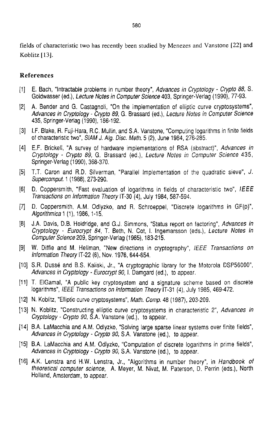fields of characteristic two **has** recently been studied by Menezes and Vanstone (221 **and**  Koblitz [13].

## **References**

- E. Bach, "Intractable problems in number theory", Advances in Cryptology Crypto 88, *S.*   $\mathsf{[1]}$ Goldwasser (ed.), Lecture Notes in Computer Science 403, Springer-Verlag (1990), 77-93.
- $\mathsf{[2]}$ A. Bender and G. Castagnoli, "On the implementation of elliptic curve cryptosystems", Advances in Cryptology - Crypto *89, G.* Brassard (ed.), Lecture Nofes in Computer Science 435, Springer-Verlag (1990), 186-192.
- I.F. Blake, **R.** Fuji-Hara, R.C. Mullin, and **S.A.** Vanstone, "Computing logarithms in finite fields of characteristic two", **SlAM** J. Alg. *Disc. Meth.* 5 (2), June 1984, 276-285.
- E.F. Brickell, "A survey of hardware implementations of **RSA** (abstract)", Advances in Cryptology - Crypto *89,* G. Brassard (ed.), Lecture Notes *in* Computer Science 435, Springer-Verlag (1 990), 368-370.
- T.T. Caron and R.D. Silverman, "Parallel Implementation of the quadratic sieve", J. Supercomput. 1 (1988), 273-290.
- D. Coppersmith, "Fast evaluation of logarithms in fields of characteristic two", *If* EE [6] Transactions on Information Theory IT-30 **(4),** July 1984, 587-594.
- $[7]$ D. Coppersmith, A.M. Odlyzko, and R. Schroeppel, "Discrete logarithms in GF(p)", Algorithmica 1 (I), 1986, 1-15.
- J.A. Davis, D.B. Holdridge, and G.J. Simmons, "Status report on factoring", Advances in [8] Cryptology - Eurocrypt *84,* T. Beth, N. Cot, I. lngemarsson (eds.), Lecture Notes in Computer Science 209, Springer-Verlag (1985), 183-215.
- $[9]$ W. Diffie and M. Hellman, "New directions in cryptography", *lEEE* Transactions on lnformation Theory IT-22 (6), Nov. 1976, 644-654.
- S.R. Dusse and B.S. Kaliski, Jr., **"A** cryptographic library for the Motorola DSP56000", Advances in Crypfology - Eurocrypt *90,* I. Damgard (ed.), to appear.
- [11] T. EIGamal, "A public key cryptosystem and a signature scheme based on discrete logarithms", *IEEE Transactions on Information Theory* IT-31 (4), July 1985, 469-472.
- [12] N. Koblitz, "Elliptic curve cryptosystems", *Math. Comp.* 48 (1987), 203-209.
- [13] N. Koblitz, "Constructing elliptic curve cryptosystems in characteristic 2", Advances in Crypfology - Crypto *90,* S.A. Vanstone (ed.), to appear.
- [14] B.A. LaMacchia and A.M. Odlyzko, "Solving large sparse linear systems over finite fields", Advances in Cryptology - Crypto *90,* S.A. Vanstone (ed.), *to* appear.
- [15] B.A. LaMacchia and A.M. Odlyzko, "Computation of discrete logarithms in prime fields", Advances in Cryptology - Crypto *90,* S.A. Vanstone (ed.), to appear.
- [16] A.K. Lenstra and H.W. Lenstra, Jr., "Algorithms in number theory", in Handbook *of*  theoretical computer science, A. Meyer, M. Nivat, M. Paterson, D. Perrin (eds.), North Holland, Amsterdam, to appear.